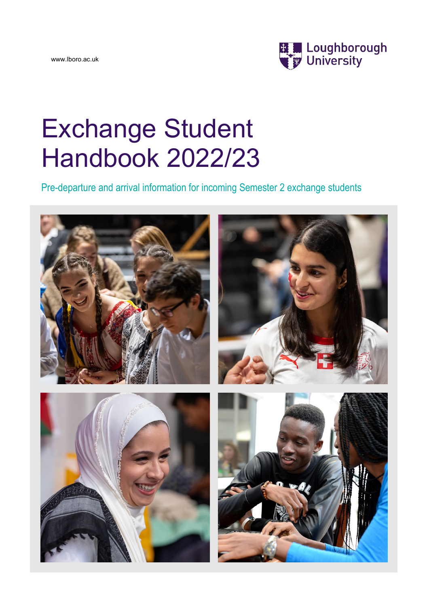www.lboro.ac.uk



# Exchange Student Handbook 2022/23

Pre-departure and arrival information for incoming Semester 2 exchange students

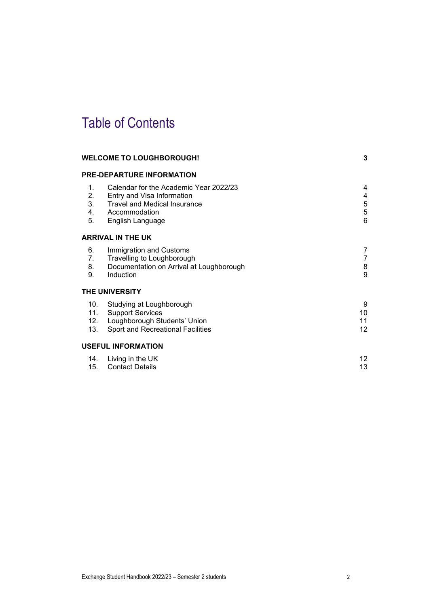# Table of Contents

|                            | <b>WELCOME TO LOUGHBOROUGH!</b>                                                                                                                  | 3                                           |
|----------------------------|--------------------------------------------------------------------------------------------------------------------------------------------------|---------------------------------------------|
|                            | <b>PRE-DEPARTURE INFORMATION</b>                                                                                                                 |                                             |
| 1.<br>2.<br>3.<br>4.<br>5. | Calendar for the Academic Year 2022/23<br>Entry and Visa Information<br><b>Travel and Medical Insurance</b><br>Accommodation<br>English Language | 4<br>4<br>5<br>$\sqrt{5}$<br>$6\phantom{1}$ |
|                            | <b>ARRIVAL IN THE UK</b>                                                                                                                         |                                             |
| 6.<br>7.<br>8.<br>9.       | Immigration and Customs<br>Travelling to Loughborough<br>Documentation on Arrival at Loughborough<br>Induction                                   | 7<br>7<br>8<br>9                            |
|                            | <b>THE UNIVERSITY</b>                                                                                                                            |                                             |
| 10.<br>12.<br>13.          | Studying at Loughborough<br>11. Support Services<br>Loughborough Students' Union<br>Sport and Recreational Facilities                            | 9<br>10<br>11<br>12                         |
|                            | <b>USEFUL INFORMATION</b>                                                                                                                        |                                             |
| 14.<br>15.                 | Living in the UK<br><b>Contact Details</b>                                                                                                       | 12 <sup>2</sup><br>13                       |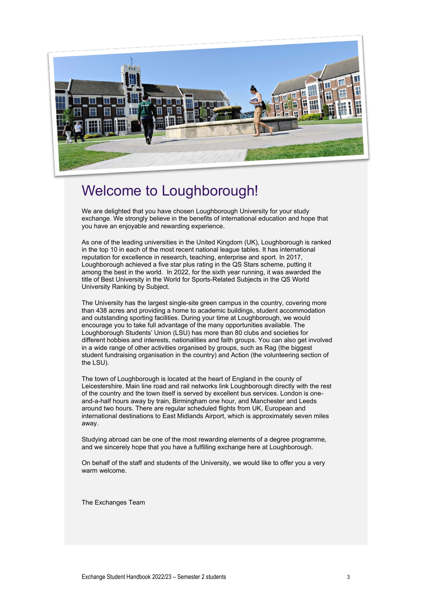

# <span id="page-2-0"></span>Welcome to Loughborough!

We are delighted that you have chosen Loughborough University for your study exchange. We strongly believe in the benefits of international education and hope that you have an enjoyable and rewarding experience.

As one of the leading universities in the United Kingdom (UK), Loughborough is ranked in the top 10 in each of the most recent national league tables. It has international reputation for excellence in research, teaching, enterprise and sport. In 2017, Loughborough achieved a five star plus rating in the QS Stars scheme, putting it among the best in the world. In 2022, for the sixth year running, it was awarded the title of Best University in the World for Sports-Related Subjects in the QS World University Ranking by Subject.

The University has the largest single-site green campus in the country, covering more than 438 acres and providing a home to academic buildings, student accommodation and outstanding sporting facilities. During your time at Loughborough, we would encourage you to take full advantage of the many opportunities available. The Loughborough Students' Union (LSU) has more than 80 clubs and societies for different hobbies and interests, nationalities and faith groups. You can also get involved in a wide range of other activities organised by groups, such as Rag (the biggest student fundraising organisation in the country) and Action (the volunteering section of the LSU).

The town of Loughborough is located at the heart of England in the county of Leicestershire. Main line road and rail networks link Loughborough directly with the rest of the country and the town itself is served by excellent bus services. London is oneand-a-half hours away by train, Birmingham one hour, and Manchester and Leeds around two hours. There are regular scheduled flights from UK, European and international destinations to East Midlands Airport, which is approximately seven miles away.

Studying abroad can be one of the most rewarding elements of a degree programme, and we sincerely hope that you have a fulfilling exchange here at Loughborough.

On behalf of the staff and students of the University, we would like to offer you a very warm welcome.

The Exchanges Team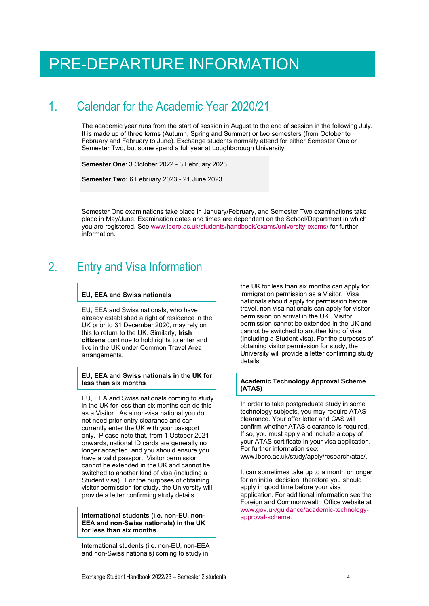# <span id="page-3-0"></span>PRE-DEPARTURE INFORMATION

### <span id="page-3-1"></span>Calendar for the Academic Year 2020/21 1.

The academic year runs from the start of session in August to the end of session in the following July. It is made up of three terms (Autumn, Spring and Summer) or two semesters (from October to February and February to June). Exchange students normally attend for either Semester One or Semester Two, but some spend a full year at Loughborough University.

**Semester One**: 3 October 2022 - 3 February 2023

**Semester Two:** 6 February 2023 - 21 June 2023

Semester One examinations take place in January/February, and Semester Two examinations take place in May/June. Examination dates and times are dependent on the School/Department in which you are registered. See [www.lboro.ac.uk/students/handbook/exams/university-exams/](http://www.lboro.ac.uk/students/handbook/exams/university-exams/) for further information.

### <span id="page-3-2"></span> $2_{\cdot}$ Entry and Visa Information

### **EU, EEA and Swiss nationals**

EU, EEA and Swiss nationals, who have already established a right of residence in the UK prior to 31 December 2020, may rely on this to return to the UK. Similarly, **Irish citizens** continue to hold rights to enter and live in the UK under Common Travel Area arrangements.

### **EU, EEA and Swiss nationals in the UK for less than six months**

EU, EEA and Swiss nationals coming to study in the UK for less than six months can do this as a Visitor. As a non-visa national you do not need prior entry clearance and can currently enter the UK with your passport only. Please note that, from 1 October 2021 onwards, national ID cards are generally no longer accepted, and you should ensure you have a valid passport. Visitor permission cannot be extended in the UK and cannot be switched to another kind of visa (including a Student visa). For the purposes of obtaining visitor permission for study, the University will provide a letter confirming study details.

### **International students (i.e. non-EU, non-EEA and non-Swiss nationals) in the UK for less than six months**

International students (i.e. non-EU, non-EEA and non-Swiss nationals) coming to study in

the UK for less than six months can apply for immigration permission as a Visitor. Visa nationals should apply for permission before travel, non-visa nationals can apply for visitor permission on arrival in the UK. Visitor permission cannot be extended in the UK and cannot be switched to another kind of visa (including a Student visa). For the purposes of obtaining visitor permission for study, the University will provide a letter confirming study details.

### **Academic Technology Approval Scheme (ATAS)**

In order to take postgraduate study in some technology subjects, you may require ATAS clearance. Your offer letter and CAS will confirm whether ATAS clearance is required. If so, you must apply and include a copy of your ATAS certificate in your visa application. For further information see: [www.lboro.ac.uk/study/apply/research/atas/.](http://www.lboro.ac.uk/study/apply/research/atas/) 

It can sometimes take up to a month or longer for an initial decision, therefore you should apply in good time before your visa application. For additional information see the Foreign and Commonwealth Office website at [www.gov.uk/guidance/academic-technology](http://www.gov.uk/guidance/academic-technology-approval-scheme)[approval-scheme.](http://www.gov.uk/guidance/academic-technology-approval-scheme)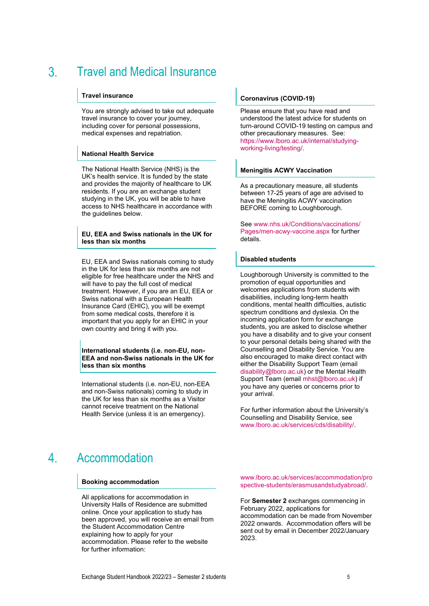### <span id="page-4-0"></span>Travel and Medical Insurance  $\mathcal{S}$

# **Travel insurance**

You are strongly advised to take out adequate travel insurance to cover your journey, including cover for personal possessions, medical expenses and repatriation.

### **National Health Service**

The National Health Service (NHS) is the UK's health service. It is funded by the state and provides the majority of healthcare to UK residents. If you are an exchange student studying in the UK, you will be able to have access to NHS healthcare in accordance with the quidelines below.

### **EU, EEA and Swiss nationals in the UK for less than six months**

EU, EEA and Swiss nationals coming to study in the UK for less than six months are not eligible for free healthcare under the NHS and will have to pay the full cost of medical treatment. However, if you are an EU, EEA or Swiss national with a European Health Insurance Card (EHIC), you will be exempt from some medical costs, therefore it is important that you apply for an EHIC in your own country and bring it with you.

**International students (i.e. non-EU, non-EEA and non-Swiss nationals in the UK for less than six months**

International students (i.e. non-EU, non-EEA and non-Swiss nationals) coming to study in the UK for less than six months as a Visitor cannot receive treatment on the National Health Service (unless it is an emergency).

### **Coronavirus (COVID-19)**

Please ensure that you have read and understood the latest advice for students on turn-around COVID-19 testing on campus and other precautionary measures. See: [https://www.lboro.ac.uk/internal/studying](https://www.lboro.ac.uk/internal/studying-working-living/testing/)[working-living/testing/.](https://www.lboro.ac.uk/internal/studying-working-living/testing/)

### **Meningitis ACWY Vaccination**

As a precautionary measure, all students between 17-25 years of age are advised to have the Meningitis ACWY vaccination BEFORE coming to Loughborough.

See [www.nhs.uk/Conditions/vaccinations/](http://www.nhs.uk/Conditions/vaccinations/%0bPages/men-acwy-vaccine.aspx) [Pages/men-acwy-vaccine.aspx](http://www.nhs.uk/Conditions/vaccinations/%0bPages/men-acwy-vaccine.aspx) for further details.

# **Disabled students**

Loughborough University is committed to the promotion of equal opportunities and welcomes applications from students with disabilities, including long-term health conditions, mental health difficulties, autistic spectrum conditions and dyslexia. On the incoming application form for exchange students, you are asked to disclose whether you have a disability and to give your consent to your personal details being shared with the Counselling and Disability Service. You are also encouraged to make direct contact with either the Disability Support Team (email [disability@lboro.ac.uk\)](mailto:disability@lboro.ac.uk) or the Mental Health Support Team (email mhst@lboro.ac.uk) if you have any queries or concerns prior to your arrival.

For further information about the University's Counselling and Disability Service, see [www.lboro.ac.uk/services/cds/disability/.](http://www.lboro.ac.uk/services/cds/disability/)

#### <span id="page-4-1"></span> $\overline{4}$ . Accommodation

### **Booking accommodation**

All applications for accommodation in University Halls of Residence are submitted online. Once your application to study has been approved, you will receive an email from the Student Accommodation Centre explaining how to apply for your accommodation. Please refer to the website for further information:

[www.lboro.ac.uk/services/accommodation/pro](http://www.lboro.ac.uk/services/accommodation/prospective-students/erasmusandstudyabroad/) [spective-students/erasmusandstudyabroad/.](http://www.lboro.ac.uk/services/accommodation/prospective-students/erasmusandstudyabroad/)

For **Semester 2** exchanges commencing in February 2022, applications for accommodation can be made from November 2022 onwards. Accommodation offers will be sent out by email in December 2022/January 2023.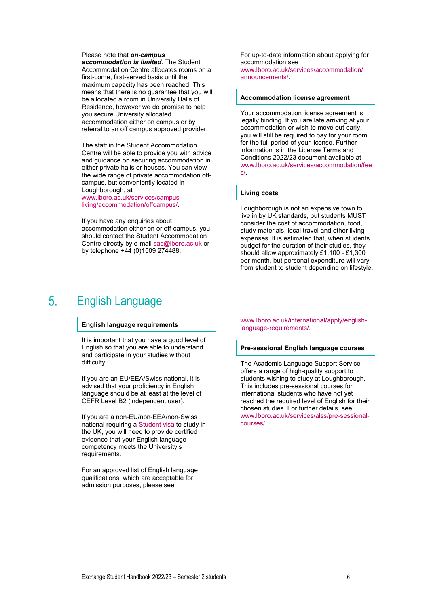Please note that *on-campus accommodation is limited*. The Student Accommodation Centre allocates rooms on a first-come, first-served basis until the maximum capacity has been reached. This means that there is no guarantee that you will be allocated a room in University Halls of Residence, however we do promise to help you secure University allocated accommodation either on campus or by referral to an off campus approved provider.

The staff in the Student Accommodation Centre will be able to provide you with advice and guidance on securing accommodation in either private halls or houses. You can view the wide range of private accommodation offcampus, but conveniently located in Loughborough, at

[www.lboro.ac.uk/services/campus](http://www.lboro.ac.uk/services/campus-living/accommodation/offcampus/)[living/accommodation/offcampus/.](http://www.lboro.ac.uk/services/campus-living/accommodation/offcampus/)

If you have any enquiries about accommodation either on or off-campus, you should contact the Student Accommodation Centre directly by e-mail [sac@lboro.ac.uk](mailto:sac@lboro.ac.uk) or by telephone +44 (0)1509 274488.

For up-to-date information about applying for accommodation see [www.lboro.ac.uk/services/accommodation/](http://www.lboro.ac.uk/services/accommodation/announcements/) [announcements/.](http://www.lboro.ac.uk/services/accommodation/announcements/)

### **Accommodation license agreement**

Your accommodation license agreement is legally binding. If you are late arriving at your accommodation or wish to move out early, you will still be required to pay for your room for the full period of your license. Further information is in the License Terms and Conditions 2022/23 document available at [www.lboro.ac.uk/services/accommodation/fee](http://www.lboro.ac.uk/services/accommodation/fees/) [s/.](http://www.lboro.ac.uk/services/accommodation/fees/)

### **Living costs**

Loughborough is not an expensive town to live in by UK standards, but students MUST consider the cost of accommodation, food, study materials, local travel and other living expenses. It is estimated that, when students budget for the duration of their studies, they should allow approximately £1,100 - £1,300 per month, but personal expenditure will vary from student to student depending on lifestyle.

### <span id="page-5-0"></span> $5<sub>1</sub>$ English Language

### **English language requirements**

It is important that you have a good level of English so that you are able to understand and participate in your studies without difficulty.

If you are an EU/EEA/Swiss national, it is advised that your proficiency in English language should be at least at the level of CEFR Level B2 (independent user).

If you are a non-EU/non-EEA/non-Swiss national requiring [a Student visa](https://www.gov.uk/student-visa) to study in the UK, you will need to provide certified evidence that your English language competency meets the University's requirements.

For an approved list of English language qualifications, which are acceptable for admission purposes, please see

[www.lboro.ac.uk/international/apply/english](http://www.lboro.ac.uk/international/apply/english-language-requirements/)[language-requirements/.](http://www.lboro.ac.uk/international/apply/english-language-requirements/)

### **Pre-sessional English language courses**

The Academic Language Support Service offers a range of high-quality support to students wishing to study at Loughborough. This includes pre-sessional courses for international students who have not yet reached the required level of English for their chosen studies. For further details, see [www.lboro.ac.uk/services/alss/pre-sessional](http://www.lboro.ac.uk/services/alss/pre-sessional-courses/)[courses/.](http://www.lboro.ac.uk/services/alss/pre-sessional-courses/)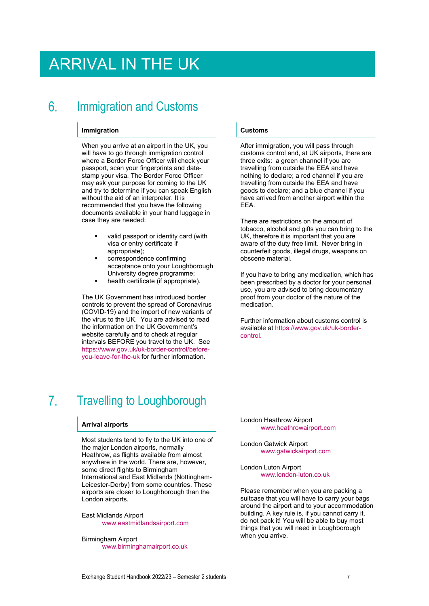# <span id="page-6-0"></span>ARRIVAL IN THE UK

### <span id="page-6-1"></span>6 Immigration and Customs

### **Immigration**

When you arrive at an airport in the UK, you will have to go through immigration control where a Border Force Officer will check your passport, scan your fingerprints and datestamp your visa. The Border Force Officer may ask your purpose for coming to the UK and try to determine if you can speak English without the aid of an interpreter. It is recommended that you have the following documents available in your hand luggage in case they are needed:

- valid passport or identity card (with visa or entry certificate if appropriate);
- correspondence confirming acceptance onto your Loughborough University degree programme;
- health certificate (if appropriate).

The UK Government has introduced border controls to prevent the spread of Coronavirus (COVID-19) and the import of new variants of the virus to the UK. You are advised to read the information on the UK Government's website carefully and to check at regular intervals BEFORE you travel to the UK. See [https://www.gov.uk/uk-border-control/before](https://www.gov.uk/uk-border-control/before-you-leave-for-the-uk)[you-leave-for-the-uk](https://www.gov.uk/uk-border-control/before-you-leave-for-the-uk) for further information.

### **Customs**

After immigration, you will pass through customs control and, at UK airports, there are three exits: a green channel if you are travelling from outside the EEA and have nothing to declare; a red channel if you are travelling from outside the EEA and have goods to declare; and a blue channel if you have arrived from another airport within the EEA.

There are restrictions on the amount of tobacco, alcohol and gifts you can bring to the UK, therefore it is important that you are aware of the duty free limit. Never bring in counterfeit goods, illegal drugs, weapons on obscene material.

If you have to bring any medication, which has been prescribed by a doctor for your personal use, you are advised to bring documentary proof from your doctor of the nature of the medication.

Further information about customs control is available at https://www.gov.uk/uk-bordercontrol.

### <span id="page-6-2"></span> $7<sub>1</sub>$ Travelling to Loughborough

### **Arrival airports**

Most students tend to fly to the UK into one of the major London airports, normally Heathrow, as flights available from almost anywhere in the world. There are, however, some direct flights to Birmingham International and East Midlands (Nottingham-Leicester-Derby) from some countries. These airports are closer to Loughborough than the London airports.

East Midlands Airport [www.eastmidlandsairport.com](http://www.eastmidlandsairport.com/)

Birmingham Airport [www.birminghamairport.co.uk](http://www.birminghamairport.co.uk/) London Heathrow Airport [www.heathrowairport.com](http://www.heathrowairport.com/)

London Gatwick Airport [www.gatwickairport.com](http://www.gatwickairport.com/)

London Luton Airport [www.london-luton.co.uk](http://www.london-luton.co.uk/)

Please remember when you are packing a suitcase that you will have to carry your bags around the airport and to your accommodation building. A key rule is, if you cannot carry it, do not pack it! You will be able to buy most things that you will need in Loughborough when you arrive.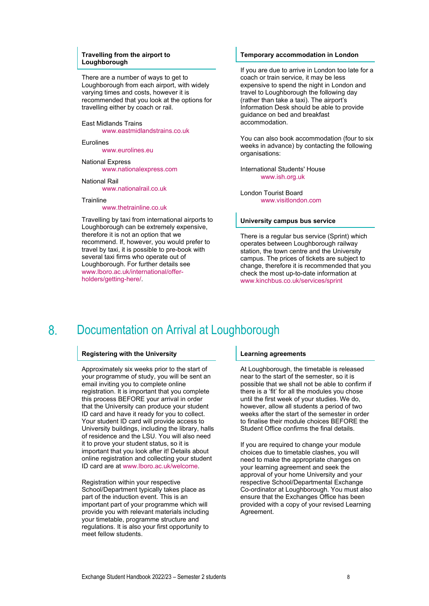### **Travelling from the airport to Loughborough**

There are a number of ways to get to Loughborough from each airport, with widely varying times and costs, however it is recommended that you look at the options for travelling either by coach or rail.

East Midlands Trains

[www.eastmidlandstrains.co.uk](http://www.eastmidlandstrains.co.uk/)

Eurolines

[www.eurolines.eu](http://www.eurolines.eu/)

National Express [www.nationalexpress.com](http://www.nationalexpress.com/)

National Rail [www.nationalrail.co.uk](http://www.nationalrail.co.uk/)

**Trainline** 

### [www.thetrainline.co.uk](http://www.thetrainline.co.uk/)

Travelling by taxi from international airports to Loughborough can be extremely expensive, therefore it is not an option that we recommend. If, however, you would prefer to travel by taxi, it is possible to pre-book with several taxi firms who operate out of Loughborough. For further details see [www.lboro.ac.uk/international/offer](http://www.lboro.ac.uk/international/offer-holders/getting-here/)[holders/getting-here/.](http://www.lboro.ac.uk/international/offer-holders/getting-here/)

# **Temporary accommodation in London**

If you are due to arrive in London too late for a coach or train service, it may be less expensive to spend the night in London and travel to Loughborough the following day (rather than take a taxi). The airport's Information Desk should be able to provide guidance on bed and breakfast accommodation.

You can also book accommodation (four to six weeks in advance) by contacting the following organisations:

International Students' House [www.ish.org.uk](http://www.ish.org.uk/)

London Tourist Board [www.visitlondon.com](http://www.visitlondon.com/)

### **University campus bus service**

There is a regular bus service (Sprint) which operates between Loughborough railway station, the town centre and the University campus. The prices of tickets are subject to change, therefore it is recommended that you check the most up-to-date information at [www.kinchbus.co.uk/services/sprint](http://www.kinchbus.co.uk/services/sprint)

#### <span id="page-7-0"></span>8. Documentation on Arrival at Loughborough

# **Registering with the University**

Approximately six weeks prior to the start of your programme of study, you will be sent an email inviting you to complete online registration. It is important that you complete this process BEFORE your arrival in order that the University can produce your student ID card and have it ready for you to collect. Your student ID card will provide access to University buildings, including the library, halls of residence and the LSU. You will also need it to prove your student status, so it is important that you look after it! Details about online registration and collecting your student ID card are at [www.lboro.ac.uk/welcome.](http://www.lboro.ac.uk/welcome)

Registration within your respective School/Department typically takes place as part of the induction event. This is an important part of your programme which will provide you with relevant materials including your timetable, programme structure and regulations. It is also your first opportunity to meet fellow students.

### **Learning agreements**

At Loughborough, the timetable is released near to the start of the semester, so it is possible that we shall not be able to confirm if there is a 'fit' for all the modules you chose until the first week of your studies. We do, however, allow all students a period of two weeks after the start of the semester in order to finalise their module choices BEFORE the Student Office confirms the final details.

If you are required to change your module choices due to timetable clashes, you will need to make the appropriate changes on your learning agreement and seek the approval of your home University and your respective School/Departmental Exchange Co-ordinator at Loughborough. You must also ensure that the Exchanges Office has been provided with a copy of your revised Learning Agreement.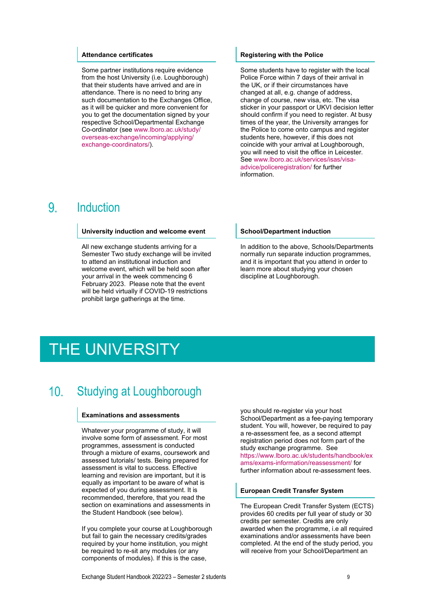### **Attendance certificates**

Some partner institutions require evidence from the host University (i.e. Loughborough) that their students have arrived and are in attendance. There is no need to bring any such documentation to the Exchanges Office, as it will be quicker and more convenient for you to get the documentation signed by your respective School/Departmental Exchange Co-ordinator (see [www.lboro.ac.uk/study/](http://www.lboro.ac.uk/study/overseas-exchange/incoming/applying/exchange-coordinators/) [overseas-exchange/incoming/applying/](http://www.lboro.ac.uk/study/overseas-exchange/incoming/applying/exchange-coordinators/) [exchange-coordinators/\)](http://www.lboro.ac.uk/study/overseas-exchange/incoming/applying/exchange-coordinators/).

# **Registering with the Police**

Some students have to register with the local Police Force within 7 days of their arrival in the UK, or if their circumstances have changed at all, e.g. change of address, change of course, new visa, etc. The visa sticker in your passport or UKVI decision letter should confirm if you need to register. At busy times of the year, the University arranges for the Police to come onto campus and register students here, however, if this does not coincide with your arrival at Loughborough, you will need to visit the office in Leicester. See [www.lboro.ac.uk/services/isas/visa](http://www.lboro.ac.uk/services/isas/visa-advice/policeregistration/)[advice/policeregistration/](http://www.lboro.ac.uk/services/isas/visa-advice/policeregistration/) for further information.

#### <span id="page-8-0"></span>9 **Induction**

### **University induction and welcome event**

All new exchange students arriving for a Semester Two study exchange will be invited to attend an institutional induction and welcome event, which will be held soon after your arrival in the week commencing 6 February 2023. Please note that the event will be held virtually if COVID-19 restrictions prohibit large gatherings at the time.

### **School/Department induction**

In addition to the above, Schools/Departments normally run separate induction programmes, and it is important that you attend in order to learn more about studying your chosen discipline at Loughborough.

# <span id="page-8-1"></span>THE UNIVERSITY

### <span id="page-8-2"></span>Studying at Loughborough  $10<sup>1</sup>$

### **Examinations and assessments**

Whatever your programme of study, it will involve some form of assessment. For most programmes, assessment is conducted through a mixture of exams, coursework and assessed tutorials/ tests. Being prepared for assessment is vital to success. Effective learning and revision are important, but it is equally as important to be aware of what is expected of you during assessment. It is recommended, therefore, that you read the section on examinations and assessments in the Student Handbook (see below).

If you complete your course at Loughborough but fail to gain the necessary credits/grades required by your home institution, you might be required to re-sit any modules (or any components of modules). If this is the case,

you should re-register via your host School/Department as a fee-paying temporary student. You will, however, be required to pay a re-assessment fee, as a second attempt registration period does not form part of the study exchange programme. See [https://www.lboro.ac.uk/students/handbook/ex](https://www.lboro.ac.uk/students/handbook/exams/exams-information/reassessment/) [ams/exams-information/reassessment/](https://www.lboro.ac.uk/students/handbook/exams/exams-information/reassessment/) for further information about re-assessment fees.

### **European Credit Transfer System**

The European Credit Transfer System (ECTS) provides 60 credits per full year of study or 30 credits per semester. Credits are only awarded when the programme, i.e all required examinations and/or assessments have been completed. At the end of the study period, you will receive from your School/Department an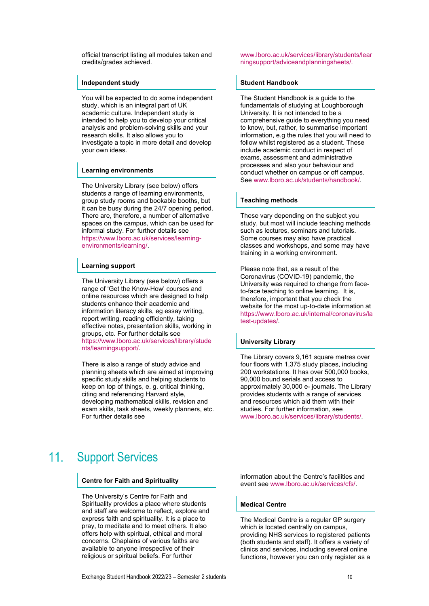official transcript listing all modules taken and credits/grades achieved.

### **Independent study**

You will be expected to do some independent study, which is an integral part of UK academic culture. Independent study is intended to help you to develop your critical analysis and problem-solving skills and your research skills. It also allows you to investigate a topic in more detail and develop your own ideas.

### **Learning environments**

The University Library (see below) offers students a range of learning environments, group study rooms and bookable booths, but it can be busy during the 24/7 opening period. There are, therefore, a number of alternative spaces on the campus, which can be used for informal study. For further details see [https://www.lboro.ac.uk/services/learning](https://www.lboro.ac.uk/services/learning-environments/learning/)[environments/learning/.](https://www.lboro.ac.uk/services/learning-environments/learning/)

# **Learning support**

The University Library (see below) offers a range of 'Get the Know-How' courses and online resources which are designed to help students enhance their academic and information literacy skills, eg essay writing, report writing, reading efficiently, taking effective notes, presentation skills, working in groups, etc. For further details see [https://www.lboro.ac.uk/services/library/stude](https://www.lboro.ac.uk/services/library/students/learningsupport/) [nts/learningsupport/.](https://www.lboro.ac.uk/services/library/students/learningsupport/)

There is also a range of study advice and planning sheets which are aimed at improving specific study skills and helping students to keep on top of things, e. g. critical thinking, citing and referencing Harvard style, developing mathematical skills, revision and exam skills, task sheets, weekly planners, etc. For further details see

### <span id="page-9-0"></span> $11.$ Support Services

### **Centre for Faith and Spirituality**

The University's Centre for Faith and Spirituality provides a place where students and staff are welcome to reflect, explore and express faith and spirituality. It is a place to pray, to meditate and to meet others. It also offers help with spiritual, ethical and moral concerns. Chaplains of various faiths are available to anyone irrespective of their religious or spiritual beliefs. For further

[www.lboro.ac.uk/services/library/students/lear](http://www.lboro.ac.uk/services/library/students/learningsupport/adviceandplanningsheets/) [ningsupport/adviceandplanningsheets/.](http://www.lboro.ac.uk/services/library/students/learningsupport/adviceandplanningsheets/)

# **Student Handbook**

The Student Handbook is a guide to the fundamentals of studying at Loughborough University. It is not intended to be a comprehensive guide to everything you need to know, but, rather, to summarise important information, e.g the rules that you will need to follow whilst registered as a student. These include academic conduct in respect of exams, assessment and administrative processes and also your behaviour and conduct whether on campus or off campus. See [www.lboro.ac.uk/students/handbook/.](http://www.lboro.ac.uk/students/handbook/)

# **Teaching methods**

These vary depending on the subject you study, but most will include teaching methods such as lectures, seminars and tutorials. Some courses may also have practical classes and workshops, and some may have training in a working environment.

Please note that, as a result of the Coronavirus (COVID-19) pandemic, the University was required to change from faceto-face teaching to online learning. It is, therefore, important that you check the website for the most up-to-date information at https://www.lboro.ac.uk/internal/coronavirus/la test-updates/.

# **University Library**

The Library covers 9,161 square metres over four floors with 1,375 study places, including 200 workstations. It has over 500,000 books, 90,000 bound serials and access to approximately 30,000 e- journals. The Library provides students with a range of services and resources which aid them with their studies. For further information, see [www.lboro.ac.uk/services/library/students/.](http://www.lboro.ac.uk/services/library/students/)

information about the Centre's facilities and event see [www.lboro.ac.uk/services/cfs/.](http://www.lboro.ac.uk/services/cfs/)

# **Medical Centre**

The Medical Centre is a regular GP surgery which is located centrally on campus. providing NHS services to registered patients (both students and staff). It offers a variety of clinics and services, including several online functions, however you can only register as a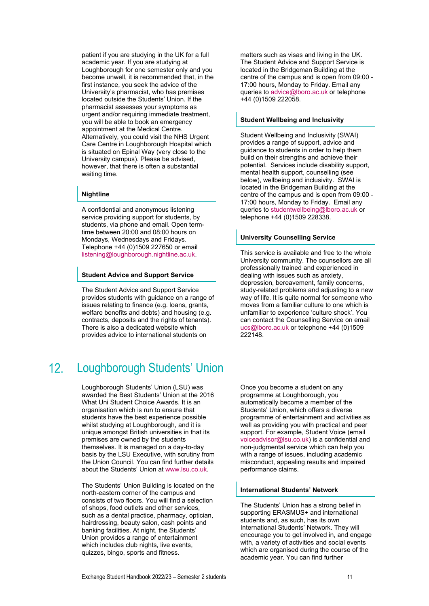patient if you are studying in the UK for a full academic year. If you are studying at Loughborough for one semester only and you become unwell, it is recommended that, in the first instance, you seek the advice of the University's pharmacist, who has premises located outside the Students' Union. If the pharmacist assesses your symptoms as urgent and/or requiring immediate treatment, you will be able to book an emergency appointment at the Medical Centre. Alternatively, you could visit the NHS Urgent Care Centre in Loughborough Hospital which is situated on Epinal Way (very close to the University campus). Please be advised, however, that there is often a substantial waiting time.

# **Nightline**

A confidential and anonymous listening service providing support for students, by students, via phone and email. Open termtime between 20:00 and 08:00 hours on Mondays, Wednesdays and Fridays. Telephone +44 (0)1509 227650 or email [listening@loughborough.nightline.ac.uk.](mailto:listening@loughborough.nightline.ac.uk)

### **Student Advice and Support Service**

The Student Advice and Support Service provides students with guidance on a range of issues relating to finance (e.g. loans, grants, welfare benefits and debts) and housing (e.g. contracts, deposits and the rights of tenants). There is also a dedicated website which provides advice to international students on

### <span id="page-10-0"></span> $12<sup>2</sup>$ Loughborough Students' Union

Loughborough Students' Union (LSU) was awarded the Best Students' Union at the 2016 What Uni Student Choice Awards. It is an organisation which is run to ensure that students have the best experience possible whilst studying at Loughborough, and it is unique amongst British universities in that its premises are owned by the students themselves. It is managed on a day-to-day basis by the LSU Executive, with scrutiny from the Union Council. You can find further details about the Students' Union a[t www.lsu.co.uk.](http://www.lsu.co.uk/)

The Students' Union Building is located on the north-eastern corner of the campus and consists of two floors. You will find a selection of shops, food outlets and other services, such as a dental practice, pharmacy, optician, hairdressing, beauty salon, cash points and banking facilities. At night, the Students' Union provides a range of entertainment which includes club nights, live events, quizzes, bingo, sports and fitness.

matters such as visas and living in the UK. The Student Advice and Support Service is located in the Bridgeman Building at the centre of the campus and is open from 09:00 - 17:00 hours, Monday to Friday. Email any queries to [advice@lboro.ac.uk](mailto:advice@lboro.ac.uk) or telephone +44 (0)1509 222058.

### **Student Wellbeing and Inclusivity**

Student Wellbeing and Inclusivity (SWAI) provides a range of support, advice and guidance to students in order to help them build on their strengths and achieve their potential. Services include disability support, mental health support, counselling (see below), wellbeing and inclusivity. SWAI is located in the Bridgeman Building at the centre of the campus and is open from 09:00 - 17:00 hours, Monday to Friday. Email any queries to [studentwellbeing@lboro.ac.uk](mailto:studentwellbeing@lboro.ac.uk) or telephone +44 (0)1509 228338.

# **University Counselling Service**

This service is available and free to the whole University community. The counsellors are all professionally trained and experienced in dealing with issues such as anxiety, depression, bereavement, family concerns, study-related problems and adjusting to a new way of life. It is quite normal for someone who moves from a familiar culture to one which is unfamiliar to experience 'culture shock'. You can contact the Counselling Service on email [ucs@lboro.ac.uk](mailto:ucs@lboro.ac.uk) or telephone +44 (0)1509 222148.

Once you become a student on any programme at Loughborough, you automatically become a member of the Students' Union, which offers a diverse programme of entertainment and activities as well as providing you with practical and peer support. For example, Student Voice (email [voiceadvisor@lsu.co.uk\)](mailto:voiceadvisor@lsu.co.uk) is a confidential and non-judgmental service which can help you with a range of issues, including academic misconduct, appealing results and impaired performance claims.

# **International Students' Network**

The Students' Union has a strong belief in supporting ERASMUS+ and international students and, as such, has its own International Students' Network. They will encourage you to get involved in, and engage with, a variety of activities and social events which are organised during the course of the academic year. You can find further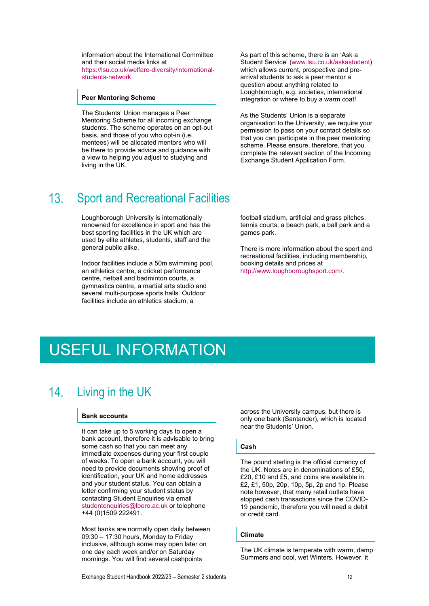information about the International Committee and their social media links at [https://lsu.co.uk/welfare-diversity/international](https://lsu.co.uk/welfare-diversity/international-students-network)[students-network](https://lsu.co.uk/welfare-diversity/international-students-network)

### **Peer Mentoring Scheme**

The Students' Union manages a Peer Mentoring Scheme for all incoming exchange students. The scheme operates on an opt-out basis, and those of you who opt-in (i.e. mentees) will be allocated mentors who will be there to provide advice and guidance with a view to helping you adjust to studying and living in the UK.

As part of this scheme, there is an 'Ask a Student Service' [\(www.lsu.co.uk/askastudent\)](http://www.lsu.co.uk/askastudent) which allows current, prospective and prearrival students to ask a peer mentor a question about anything related to Loughborough, e.g. societies, international integration or where to buy a warm coat!

As the Students' Union is a separate organisation to the University, we require your permission to pass on your contact details so that you can participate in the peer mentoring scheme. Please ensure, therefore, that you complete the relevant section of the Incoming Exchange Student Application Form.

#### <span id="page-11-0"></span>Sport and Recreational Facilities  $13<sub>1</sub>$

Loughborough University is internationally renowned for excellence in sport and has the best sporting facilities in the UK which are used by elite athletes, students, staff and the general public alike.

Indoor facilities include a 50m swimming pool, an athletics centre, a cricket performance centre, netball and badminton courts, a gymnastics centre, a martial arts studio and several multi-purpose sports halls. Outdoor facilities include an athletics stadium, a

football stadium, artificial and grass pitches, tennis courts, a beach park, a ball park and a games park.

There is more information about the sport and recreational facilities, including membership, booking details and prices at [http://www.loughboroughsport.com/.](http://www.loughboroughsport.com/)

# <span id="page-11-1"></span>USEFUL INFORMATION

#### <span id="page-11-2"></span> $14.$ Living in the UK

### **Bank accounts**

It can take up to 5 working days to open a bank account, therefore it is advisable to bring some cash so that you can meet any immediate expenses during your first couple of weeks. To open a bank account, you will need to provide documents showing proof of identification, your UK and home addresses and your student status. You can obtain a letter confirming your student status by contacting Student Enquiries via email [studentenquiries@lboro.ac.uk](mailto:studentenquiries@lboro.ac.uk) or telephone +44 (0)1509 222491.

Most banks are normally open daily between 09:30 – 17:30 hours, Monday to Friday inclusive, although some may open later on one day each week and/or on Saturday mornings. You will find several cashpoints

across the University campus, but there is only one bank (Santander), which is located near the Students' Union.

# **Cash**

The pound sterling is the official currency of the UK. Notes are in denominations of £50, £20, £10 and £5, and coins are available in £2, £1, 50p, 20p, 10p, 5p, 2p and 1p. Please note however, that many retail outlets have stopped cash transactions since the COVID-19 pandemic, therefore you will need a debit or credit card.

### **Climate**

The UK climate is temperate with warm, damp Summers and cool, wet Winters. However, it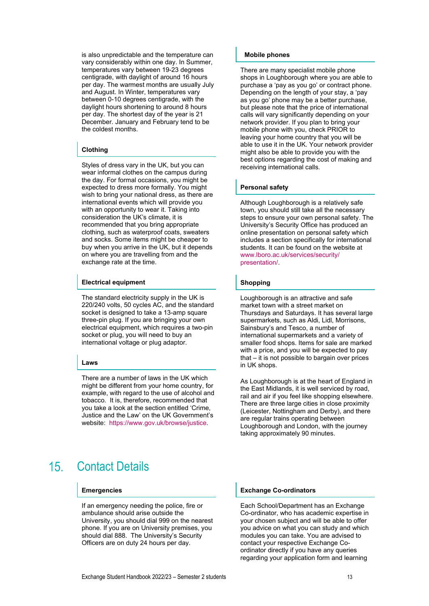is also unpredictable and the temperature can vary considerably within one day. In Summer, temperatures vary between 19-23 degrees centigrade, with daylight of around 16 hours per day. The warmest months are usually July and August. In Winter, temperatures vary between 0-10 degrees centigrade, with the daylight hours shortening to around 8 hours per day. The shortest day of the year is 21 December. January and February tend to be the coldest months.

# **Clothing**

Styles of dress vary in the UK, but you can wear informal clothes on the campus during the day. For formal occasions, you might be expected to dress more formally. You might wish to bring your national dress, as there are international events which will provide you with an opportunity to wear it. Taking into consideration the UK's climate, it is recommended that you bring appropriate clothing, such as waterproof coats, sweaters and socks. Some items might be cheaper to buy when you arrive in the UK, but it depends on where you are travelling from and the exchange rate at the time.

# **Electrical equipment**

The standard electricity supply in the UK is 220/240 volts, 50 cycles AC, and the standard socket is designed to take a 13-amp square three-pin plug. If you are bringing your own electrical equipment, which requires a two-pin socket or plug, you will need to buy an international voltage or plug adaptor.

# **Laws**

There are a number of laws in the UK which might be different from your home country, for example, with regard to the use of alcohol and tobacco. It is, therefore, recommended that you take a look at the section entitled 'Crime, Justice and the Law' on the UK Government's website: https://www.gov.uk/browse/justice.

### <span id="page-12-0"></span> $15<sub>1</sub>$ Contact Details

# **Emergencies**

If an emergency needing the police, fire or ambulance should arise outside the University, you should dial 999 on the nearest phone. If you are on University premises, you should dial 888. The University's Security Officers are on duty 24 hours per day.

# **Mobile phones**

There are many specialist mobile phone shops in Loughborough where you are able to purchase a 'pay as you go' or contract phone. Depending on the length of your stay, a 'pay as you go' phone may be a better purchase, but please note that the price of international calls will vary significantly depending on your network provider. If you plan to bring your mobile phone with you, check PRIOR to leaving your home country that you will be able to use it in the UK. Your network provider might also be able to provide you with the best options regarding the cost of making and receiving international calls.

# **Personal safety**

Although Loughborough is a relatively safe town, you should still take all the necessary steps to ensure your own personal safety. The University's Security Office has produced an online presentation on personal safety which includes a section specifically for international students. It can be found on the website at [www.lboro.ac.uk/services/security/](http://www.lboro.ac.uk/services/security/presentation/) [presentation/.](http://www.lboro.ac.uk/services/security/presentation/)

# **Shopping**

Loughborough is an attractive and safe market town with a street market on Thursdays and Saturdays. It has several large supermarkets, such as Aldi, Lidl, Morrisons, Sainsbury's and Tesco, a number of international supermarkets and a variety of smaller food shops. Items for sale are marked with a price, and you will be expected to pay that – it is not possible to bargain over prices in UK shops.

As Loughborough is at the heart of England in the East Midlands, it is well serviced by road, rail and air if you feel like shopping elsewhere. There are three large cities in close proximity (Leicester, Nottingham and Derby), and there are regular trains operating between Loughborough and London, with the journey taking approximately 90 minutes.

# **Exchange Co-ordinators**

Each School/Department has an Exchange Co-ordinator, who has academic expertise in your chosen subject and will be able to offer you advice on what you can study and which modules you can take. You are advised to contact your respective Exchange Coordinator directly if you have any queries regarding your application form and learning